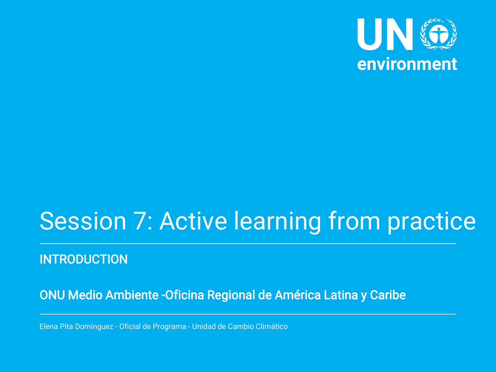

# Session 7: Active learning from practice

**INTRODUCTION** 

ONU Medio Ambiente -Oficina Regional de América Latina y Caribe

Elena Pita Domínguez - Oficial de Programa - Unidad de Cambio Climático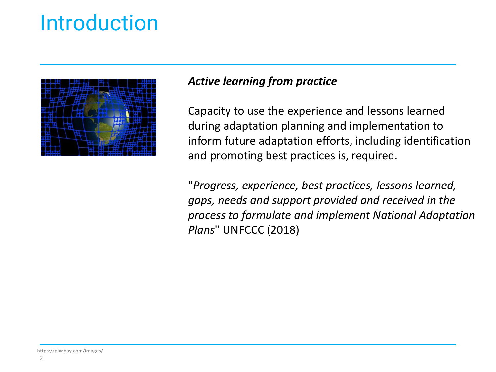

### *Active learning from practice*

Capacity to use the experience and lessons learned during adaptation planning and implementation to inform future adaptation efforts, including identification and promoting best practices is, required.

"*Progress, experience, best practices, lessons learned, gaps, needs and support provided and received in the process to formulate and implement National Adaptation Plans*" UNFCCC (2018)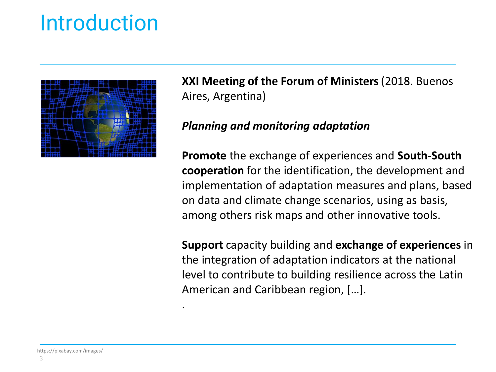

.

**XXI Meeting of the Forum of Ministers** (2018. Buenos Aires, Argentina)

#### *Planning and monitoring adaptation*

**Promote** the exchange of experiences and **South-South cooperation** for the identification, the development and implementation of adaptation measures and plans, based on data and climate change scenarios, using as basis, among others risk maps and other innovative tools.

**Support** capacity building and **exchange of experiences** in the integration of adaptation indicators at the national level to contribute to building resilience across the Latin American and Caribbean region, […].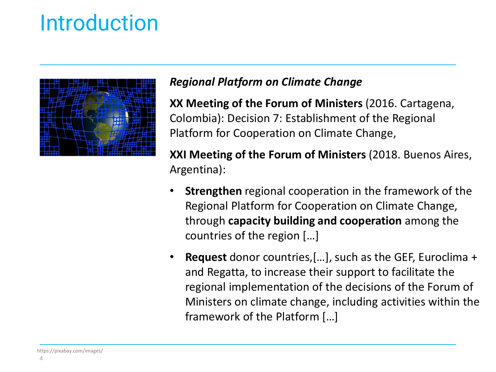

### *Regional Platform on Climate Change*

**XX Meeting of the Forum of Ministers** (2016. Cartagena, Colombia): Decision 7: Establishment of the Regional Platform for Cooperation on Climate Change,

**XXI Meeting of the Forum of Ministers** (2018. Buenos Aires, Argentina):

- **Strengthen** regional cooperation in the framework of the Regional Platform for Cooperation on Climate Change, through **capacity building and cooperation** among the countries of the region […]
- **Request** donor countries,[…], such as the GEF, Euroclima + and Regatta, to increase their support to facilitate the regional implementation of the decisions of the Forum of Ministers on climate change, including activities within the framework of the Platform […]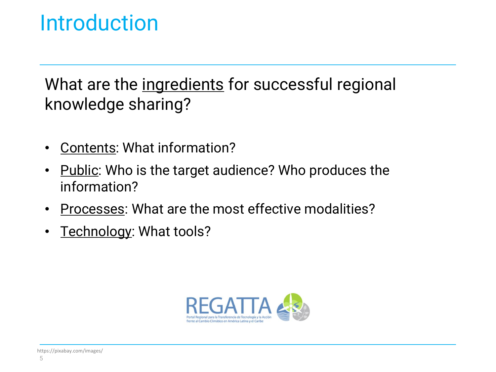What are the ingredients for successful regional knowledge sharing?

- Contents: What information?
- Public: Who is the target audience? Who produces the information?
- Processes: What are the most effective modalities?
- Technology: What tools?